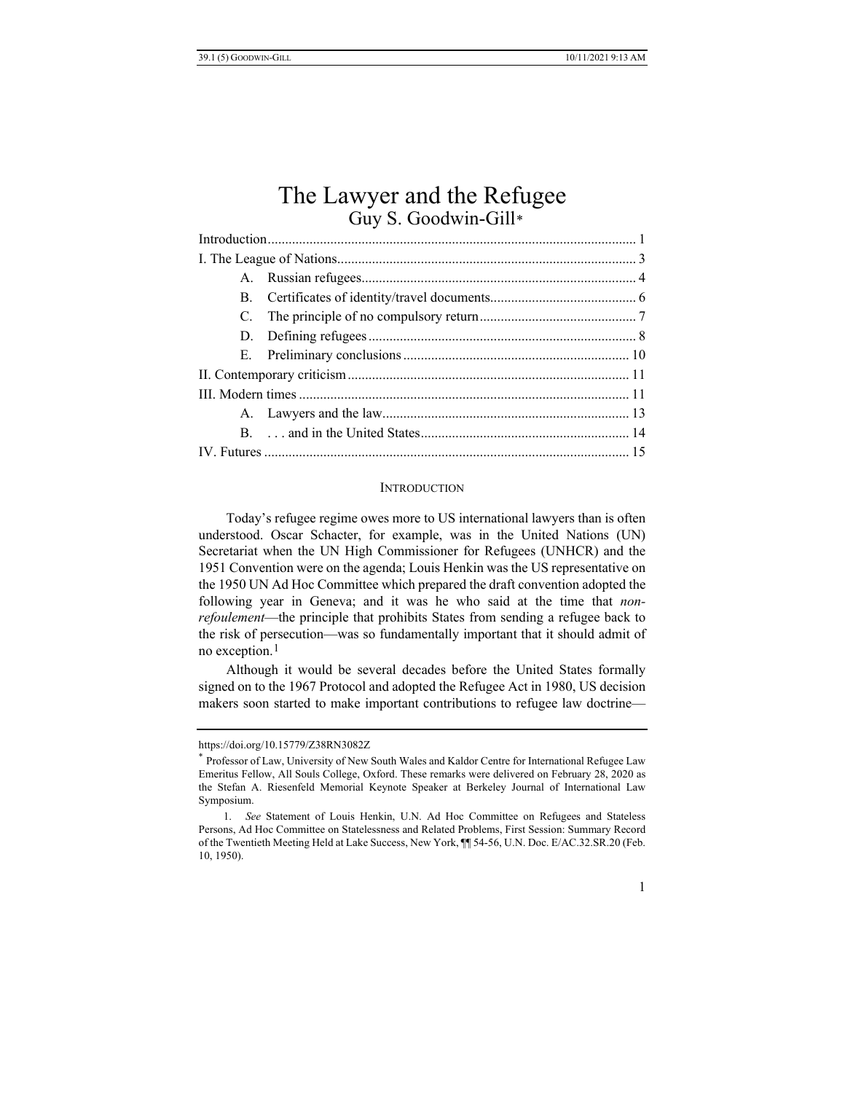# The Lawyer and the Refugee Guy S. Goodwin-Gill[\\*](#page-0-0)

### **INTRODUCTION**

Today's refugee regime owes more to US international lawyers than is often understood. Oscar Schacter, for example, was in the United Nations (UN) Secretariat when the UN High Commissioner for Refugees (UNHCR) and the 1951 Convention were on the agenda; Louis Henkin was the US representative on the 1950 UN Ad Hoc Committee which prepared the draft convention adopted the following year in Geneva; and it was he who said at the time that *nonrefoulement*—the principle that prohibits States from sending a refugee back to the risk of persecution—was so fundamentally important that it should admit of no exception.[1](#page-0-1)

Although it would be several decades before the United States formally signed on to the 1967 Protocol and adopted the Refugee Act in 1980, US decision makers soon started to make important contributions to refugee law doctrine—

<span id="page-0-0"></span>https://doi.org/10.15779/Z38RN3082Z

<sup>\*</sup> Professor of Law, University of New South Wales and Kaldor Centre for International Refugee Law Emeritus Fellow, All Souls College, Oxford. These remarks were delivered on February 28, 2020 as the Stefan A. Riesenfeld Memorial Keynote Speaker at Berkeley Journal of International Law Symposium.

<span id="page-0-1"></span><sup>1.</sup> *See* Statement of Louis Henkin, U.N. Ad Hoc Committee on Refugees and Stateless Persons, Ad Hoc Committee on Statelessness and Related Problems, First Session: Summary Record of the Twentieth Meeting Held at Lake Success, New York, ¶¶ 54-56, U.N. Doc. E/AC.32.SR.20 (Feb. 10, 1950).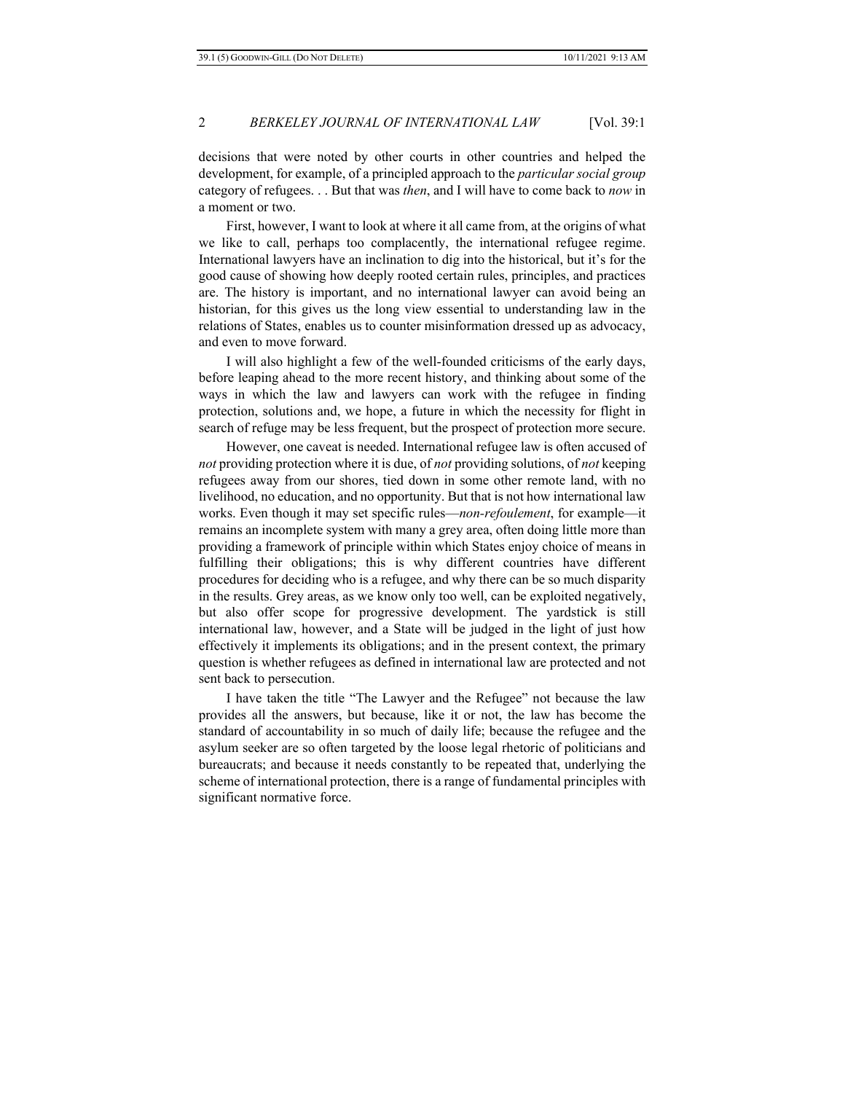decisions that were noted by other courts in other countries and helped the development, for example, of a principled approach to the *particular social group* category of refugees. . . But that was *then*, and I will have to come back to *now* in a moment or two.

First, however, I want to look at where it all came from, at the origins of what we like to call, perhaps too complacently, the international refugee regime. International lawyers have an inclination to dig into the historical, but it's for the good cause of showing how deeply rooted certain rules, principles, and practices are. The history is important, and no international lawyer can avoid being an historian, for this gives us the long view essential to understanding law in the relations of States, enables us to counter misinformation dressed up as advocacy, and even to move forward.

I will also highlight a few of the well-founded criticisms of the early days, before leaping ahead to the more recent history, and thinking about some of the ways in which the law and lawyers can work with the refugee in finding protection, solutions and, we hope, a future in which the necessity for flight in search of refuge may be less frequent, but the prospect of protection more secure.

However, one caveat is needed. International refugee law is often accused of *not* providing protection where it is due, of *not* providing solutions, of *not* keeping refugees away from our shores, tied down in some other remote land, with no livelihood, no education, and no opportunity. But that is not how international law works. Even though it may set specific rules—*non-refoulement*, for example—it remains an incomplete system with many a grey area, often doing little more than providing a framework of principle within which States enjoy choice of means in fulfilling their obligations; this is why different countries have different procedures for deciding who is a refugee, and why there can be so much disparity in the results. Grey areas, as we know only too well, can be exploited negatively, but also offer scope for progressive development. The yardstick is still international law, however, and a State will be judged in the light of just how effectively it implements its obligations; and in the present context, the primary question is whether refugees as defined in international law are protected and not sent back to persecution.

I have taken the title "The Lawyer and the Refugee" not because the law provides all the answers, but because, like it or not, the law has become the standard of accountability in so much of daily life; because the refugee and the asylum seeker are so often targeted by the loose legal rhetoric of politicians and bureaucrats; and because it needs constantly to be repeated that, underlying the scheme of international protection, there is a range of fundamental principles with significant normative force.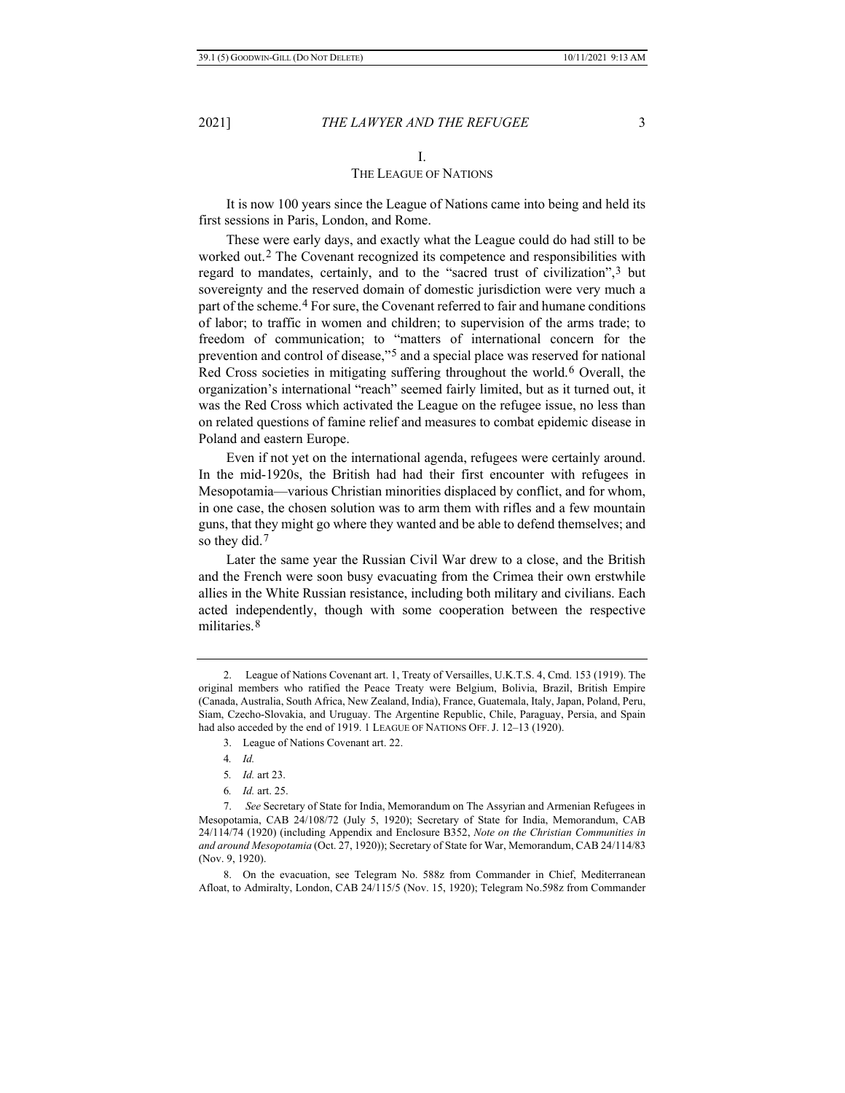#### I.

#### THE LEAGUE OF NATIONS

It is now 100 years since the League of Nations came into being and held its first sessions in Paris, London, and Rome.

These were early days, and exactly what the League could do had still to be worked out.[2](#page-2-0) The Covenant recognized its competence and responsibilities with regard to mandates, certainly, and to the "sacred trust of civilization",[3](#page-2-1) but sovereignty and the reserved domain of domestic jurisdiction were very much a part of the scheme.[4](#page-2-2) For sure, the Covenant referred to fair and humane conditions of labor; to traffic in women and children; to supervision of the arms trade; to freedom of communication; to "matters of international concern for the prevention and control of disease,"[5](#page-2-3) and a special place was reserved for national Red Cross societies in mitigating suffering throughout the world.[6](#page-2-4) Overall, the organization's international "reach" seemed fairly limited, but as it turned out, it was the Red Cross which activated the League on the refugee issue, no less than on related questions of famine relief and measures to combat epidemic disease in Poland and eastern Europe.

Even if not yet on the international agenda, refugees were certainly around. In the mid-1920s, the British had had their first encounter with refugees in Mesopotamia—various Christian minorities displaced by conflict, and for whom, in one case, the chosen solution was to arm them with rifles and a few mountain guns, that they might go where they wanted and be able to defend themselves; and so they did.<sup>[7](#page-2-5)</sup>

Later the same year the Russian Civil War drew to a close, and the British and the French were soon busy evacuating from the Crimea their own erstwhile allies in the White Russian resistance, including both military and civilians. Each acted independently, though with some cooperation between the respective militaries.<sup>[8](#page-2-6)</sup>

<span id="page-2-1"></span><span id="page-2-0"></span><sup>2.</sup> League of Nations Covenant art. 1, Treaty of Versailles, U.K.T.S. 4, Cmd. 153 (1919). The original members who ratified the Peace Treaty were Belgium, Bolivia, Brazil, British Empire (Canada, Australia, South Africa, New Zealand, India), France, Guatemala, Italy, Japan, Poland, Peru, Siam, Czecho-Slovakia, and Uruguay. The Argentine Republic, Chile, Paraguay, Persia, and Spain had also acceded by the end of 1919. 1 LEAGUE OF NATIONS OFF. J. 12-13 (1920).

<sup>3.</sup> League of Nations Covenant art. 22.

<sup>4</sup>*. Id.*

<sup>5</sup>*. Id.* art 23.

<sup>6</sup>*. Id.* art. 25.

<span id="page-2-5"></span><span id="page-2-4"></span><span id="page-2-3"></span><span id="page-2-2"></span><sup>7.</sup> *See* Secretary of State for India, Memorandum on The Assyrian and Armenian Refugees in Mesopotamia, CAB 24/108/72 (July 5, 1920); Secretary of State for India, Memorandum, CAB 24/114/74 (1920) (including Appendix and Enclosure B352, *Note on the Christian Communities in and around Mesopotamia* (Oct. 27, 1920)); Secretary of State for War, Memorandum, CAB 24/114/83 (Nov. 9, 1920).

<span id="page-2-6"></span><sup>8.</sup> On the evacuation, see Telegram No. 588z from Commander in Chief, Mediterranean Afloat, to Admiralty, London, CAB 24/115/5 (Nov. 15, 1920); Telegram No.598z from Commander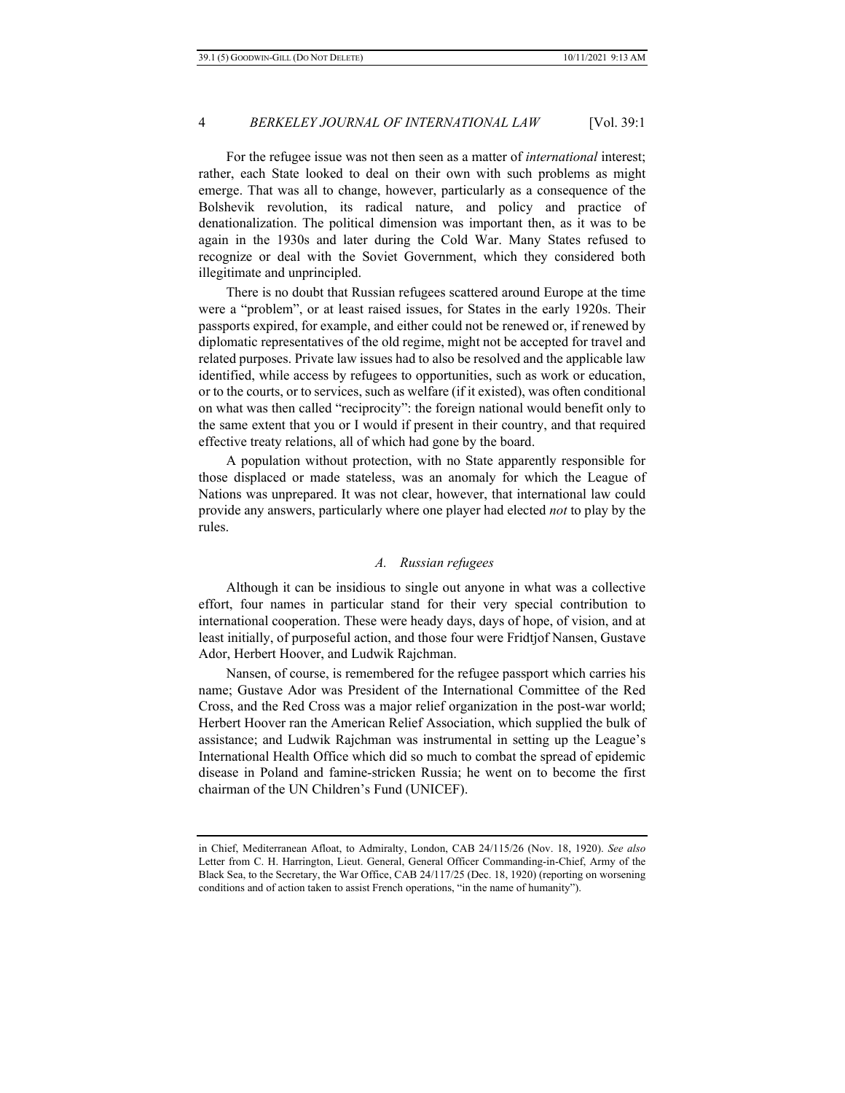For the refugee issue was not then seen as a matter of *international* interest; rather, each State looked to deal on their own with such problems as might emerge. That was all to change, however, particularly as a consequence of the Bolshevik revolution, its radical nature, and policy and practice of denationalization. The political dimension was important then, as it was to be again in the 1930s and later during the Cold War. Many States refused to recognize or deal with the Soviet Government, which they considered both illegitimate and unprincipled.

There is no doubt that Russian refugees scattered around Europe at the time were a "problem", or at least raised issues, for States in the early 1920s. Their passports expired, for example, and either could not be renewed or, if renewed by diplomatic representatives of the old regime, might not be accepted for travel and related purposes. Private law issues had to also be resolved and the applicable law identified, while access by refugees to opportunities, such as work or education, or to the courts, or to services, such as welfare (if it existed), was often conditional on what was then called "reciprocity": the foreign national would benefit only to the same extent that you or I would if present in their country, and that required effective treaty relations, all of which had gone by the board.

A population without protection, with no State apparently responsible for those displaced or made stateless, was an anomaly for which the League of Nations was unprepared. It was not clear, however, that international law could provide any answers, particularly where one player had elected *not* to play by the rules.

## *A. Russian refugees*

Although it can be insidious to single out anyone in what was a collective effort, four names in particular stand for their very special contribution to international cooperation. These were heady days, days of hope, of vision, and at least initially, of purposeful action, and those four were Fridtjof Nansen, Gustave Ador, Herbert Hoover, and Ludwik Rajchman.

Nansen, of course, is remembered for the refugee passport which carries his name; Gustave Ador was President of the International Committee of the Red Cross, and the Red Cross was a major relief organization in the post-war world; Herbert Hoover ran the American Relief Association, which supplied the bulk of assistance; and Ludwik Rajchman was instrumental in setting up the League's International Health Office which did so much to combat the spread of epidemic disease in Poland and famine-stricken Russia; he went on to become the first chairman of the UN Children's Fund (UNICEF).

in Chief, Mediterranean Afloat, to Admiralty, London, CAB 24/115/26 (Nov. 18, 1920). *See also* Letter from C. H. Harrington, Lieut. General, General Officer Commanding-in-Chief, Army of the Black Sea, to the Secretary, the War Office, CAB 24/117/25 (Dec. 18, 1920) (reporting on worsening conditions and of action taken to assist French operations, "in the name of humanity").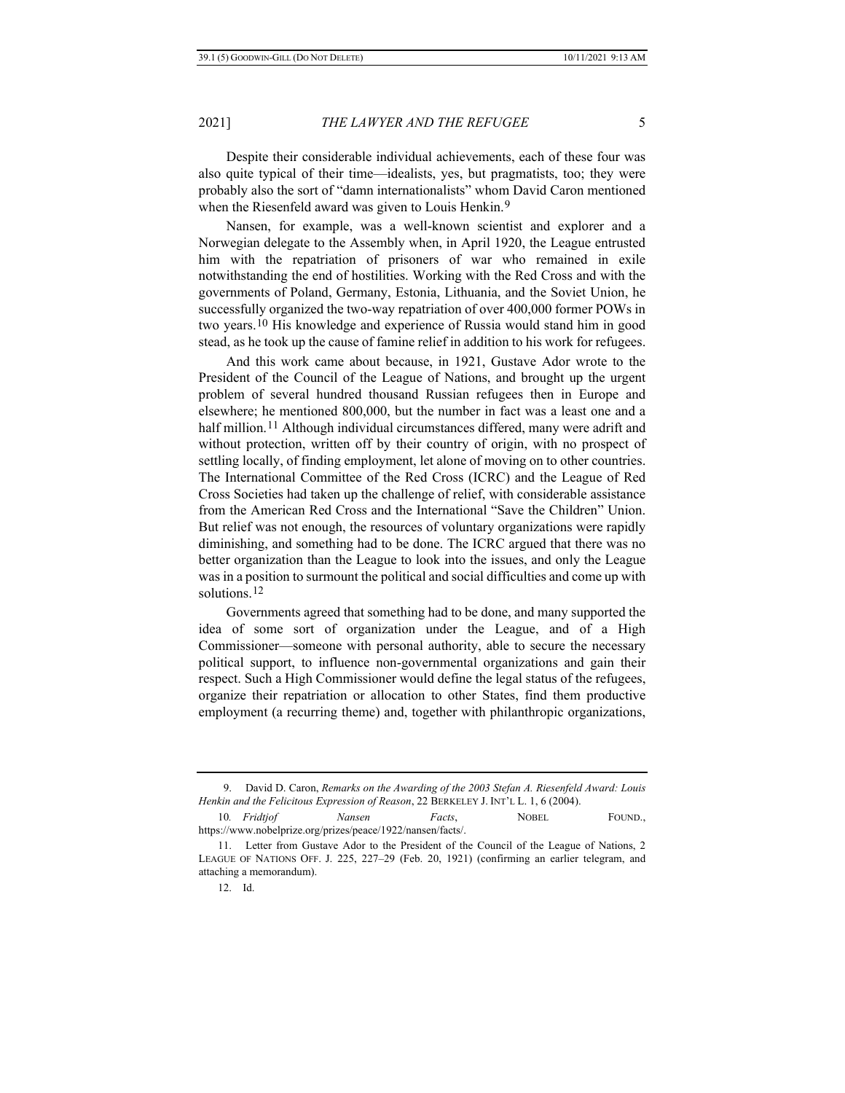Despite their considerable individual achievements, each of these four was also quite typical of their time—idealists, yes, but pragmatists, too; they were probably also the sort of "damn internationalists" whom David Caron mentioned when the Riesenfeld award was given to Louis Henkin.<sup>[9](#page-4-0)</sup>

Nansen, for example, was a well-known scientist and explorer and a Norwegian delegate to the Assembly when, in April 1920, the League entrusted him with the repatriation of prisoners of war who remained in exile notwithstanding the end of hostilities. Working with the Red Cross and with the governments of Poland, Germany, Estonia, Lithuania, and the Soviet Union, he successfully organized the two-way repatriation of over 400,000 former POWs in two years.[10](#page-4-1) His knowledge and experience of Russia would stand him in good stead, as he took up the cause of famine relief in addition to his work for refugees.

And this work came about because, in 1921, Gustave Ador wrote to the President of the Council of the League of Nations, and brought up the urgent problem of several hundred thousand Russian refugees then in Europe and elsewhere; he mentioned 800,000, but the number in fact was a least one and a half million.<sup>[11](#page-4-2)</sup> Although individual circumstances differed, many were adrift and without protection, written off by their country of origin, with no prospect of settling locally, of finding employment, let alone of moving on to other countries. The International Committee of the Red Cross (ICRC) and the League of Red Cross Societies had taken up the challenge of relief, with considerable assistance from the American Red Cross and the International "Save the Children" Union. But relief was not enough, the resources of voluntary organizations were rapidly diminishing, and something had to be done. The ICRC argued that there was no better organization than the League to look into the issues, and only the League was in a position to surmount the political and social difficulties and come up with solutions.[12](#page-4-3)

Governments agreed that something had to be done, and many supported the idea of some sort of organization under the League, and of a High Commissioner—someone with personal authority, able to secure the necessary political support, to influence non-governmental organizations and gain their respect. Such a High Commissioner would define the legal status of the refugees, organize their repatriation or allocation to other States, find them productive employment (a recurring theme) and, together with philanthropic organizations,

<span id="page-4-0"></span><sup>9.</sup> David D. Caron, *Remarks on the Awarding of the 2003 Stefan A. Riesenfeld Award: Louis Henkin and the Felicitous Expression of Reason*, 22 BERKELEY J. INT'L L. 1, 6 (2004).

<span id="page-4-1"></span><sup>10</sup>*. Fridtjof Nansen Facts*, NOBEL FOUND., https://www.nobelprize.org/prizes/peace/1922/nansen/facts/.

<span id="page-4-3"></span><span id="page-4-2"></span><sup>11.</sup> Letter from Gustave Ador to the President of the Council of the League of Nations, 2 LEAGUE OF NATIONS OFF. J. 225, 227–29 (Feb. 20, 1921) (confirming an earlier telegram, and attaching a memorandum).

<sup>12.</sup> Id.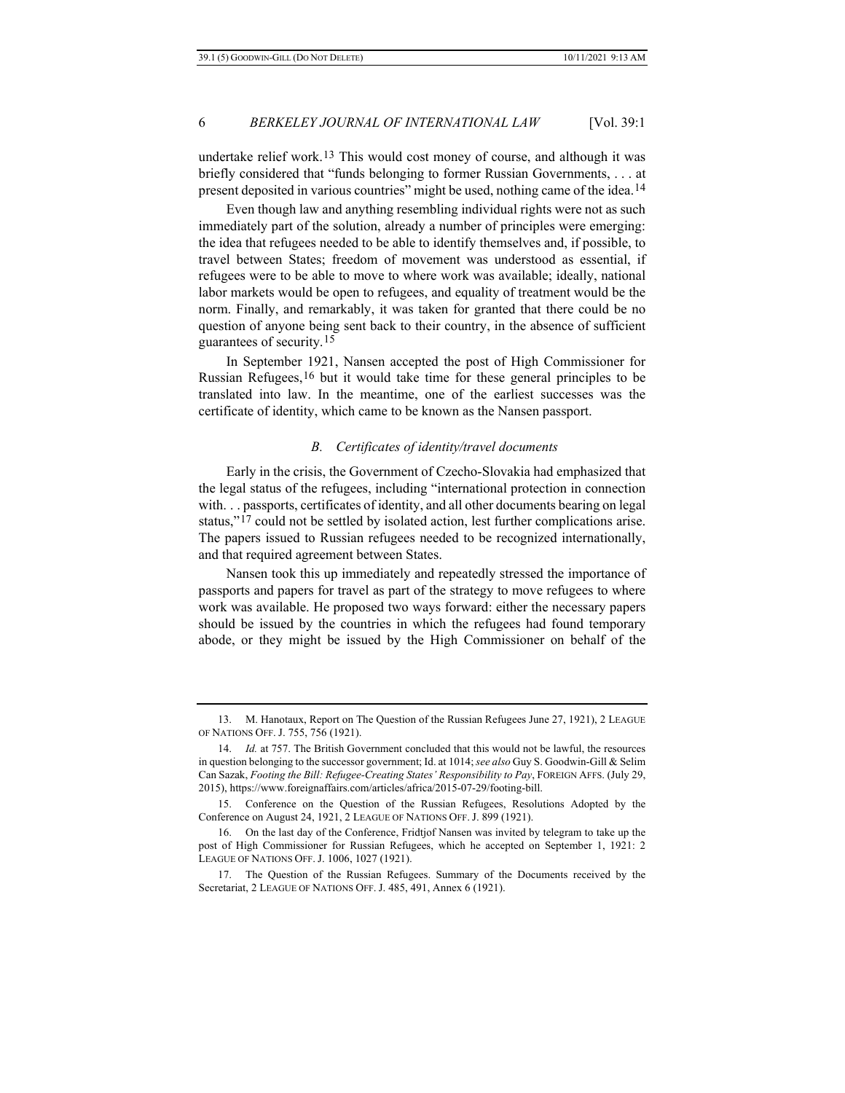undertake relief work.<sup>[13](#page-5-0)</sup> This would cost money of course, and although it was briefly considered that "funds belonging to former Russian Governments, . . . at present deposited in various countries" might be used, nothing came of the idea.[14](#page-5-1)

Even though law and anything resembling individual rights were not as such immediately part of the solution, already a number of principles were emerging: the idea that refugees needed to be able to identify themselves and, if possible, to travel between States; freedom of movement was understood as essential, if refugees were to be able to move to where work was available; ideally, national labor markets would be open to refugees, and equality of treatment would be the norm. Finally, and remarkably, it was taken for granted that there could be no question of anyone being sent back to their country, in the absence of sufficient guarantees of security.[15](#page-5-2)

In September 1921, Nansen accepted the post of High Commissioner for Russian Refugees,<sup>[16](#page-5-3)</sup> but it would take time for these general principles to be translated into law. In the meantime, one of the earliest successes was the certificate of identity, which came to be known as the Nansen passport.

#### *B. Certificates of identity/travel documents*

Early in the crisis, the Government of Czecho-Slovakia had emphasized that the legal status of the refugees, including "international protection in connection with. . . passports, certificates of identity, and all other documents bearing on legal status,"[17](#page-5-4) could not be settled by isolated action, lest further complications arise. The papers issued to Russian refugees needed to be recognized internationally, and that required agreement between States.

Nansen took this up immediately and repeatedly stressed the importance of passports and papers for travel as part of the strategy to move refugees to where work was available. He proposed two ways forward: either the necessary papers should be issued by the countries in which the refugees had found temporary abode, or they might be issued by the High Commissioner on behalf of the

<span id="page-5-0"></span><sup>13.</sup> M. Hanotaux, Report on The Question of the Russian Refugees June 27, 1921), 2 LEAGUE OF NATIONS OFF. J. 755, 756 (1921).

<span id="page-5-1"></span><sup>14.</sup> *Id.* at 757. The British Government concluded that this would not be lawful, the resources in question belonging to the successor government; Id. at 1014; *see also* Guy S. Goodwin-Gill & Selim Can Sazak, *Footing the Bill: Refugee-Creating States' Responsibility to Pay*, FOREIGN AFFS. (July 29, 2015), https://www.foreignaffairs.com/articles/africa/2015-07-29/footing-bill.

<span id="page-5-2"></span><sup>15.</sup> Conference on the Question of the Russian Refugees, Resolutions Adopted by the Conference on August 24, 1921, 2 LEAGUE OF NATIONS OFF. J. 899 (1921).

<span id="page-5-3"></span><sup>16.</sup> On the last day of the Conference, Fridtjof Nansen was invited by telegram to take up the post of High Commissioner for Russian Refugees, which he accepted on September 1, 1921: 2 LEAGUE OF NATIONS OFF. J. 1006, 1027 (1921).

<span id="page-5-4"></span><sup>17.</sup> The Question of the Russian Refugees. Summary of the Documents received by the Secretariat, 2 LEAGUE OF NATIONS OFF. J. 485, 491, Annex 6 (1921).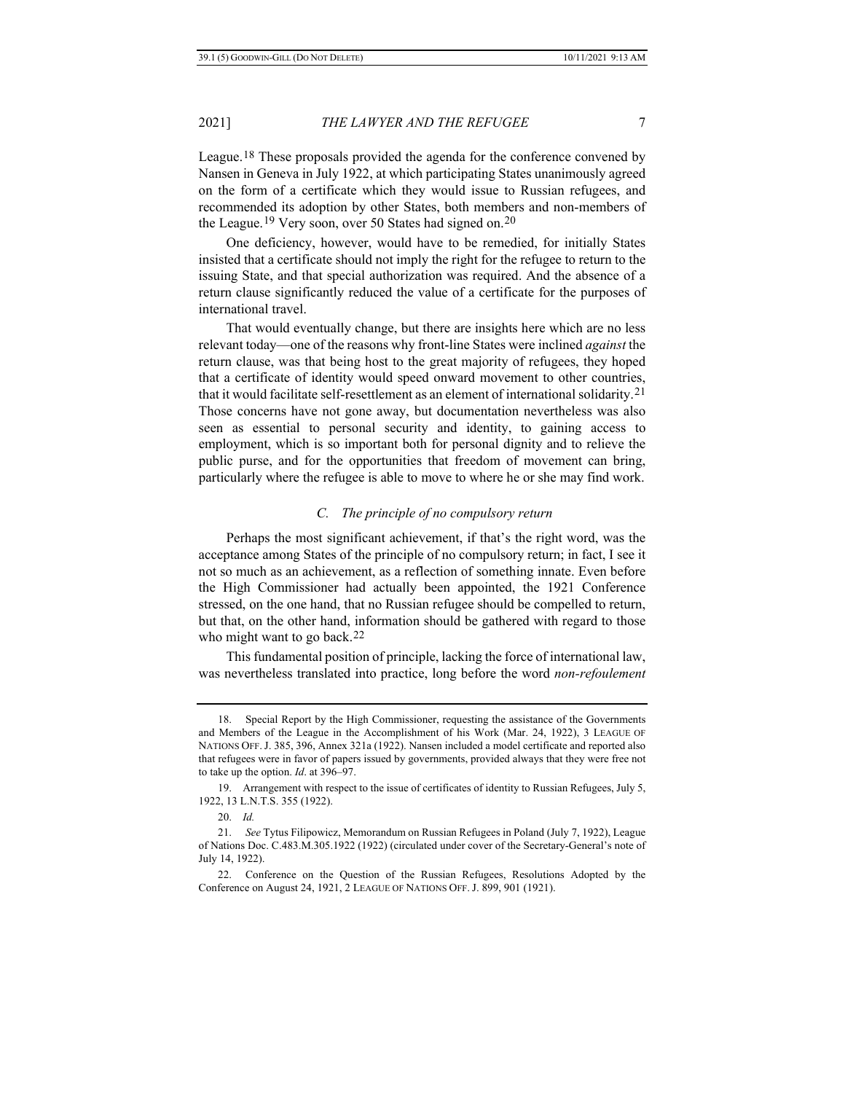League.[18](#page-6-0) These proposals provided the agenda for the conference convened by Nansen in Geneva in July 1922, at which participating States unanimously agreed on the form of a certificate which they would issue to Russian refugees, and recommended its adoption by other States, both members and non-members of the League.[19](#page-6-1) Very soon, over 50 States had signed on.[20](#page-6-2)

One deficiency, however, would have to be remedied, for initially States insisted that a certificate should not imply the right for the refugee to return to the issuing State, and that special authorization was required. And the absence of a return clause significantly reduced the value of a certificate for the purposes of international travel.

That would eventually change, but there are insights here which are no less relevant today—one of the reasons why front-line States were inclined *against* the return clause, was that being host to the great majority of refugees, they hoped that a certificate of identity would speed onward movement to other countries, that it would facilitate self-resettlement as an element of international solidarity.[21](#page-6-3) Those concerns have not gone away, but documentation nevertheless was also seen as essential to personal security and identity, to gaining access to employment, which is so important both for personal dignity and to relieve the public purse, and for the opportunities that freedom of movement can bring, particularly where the refugee is able to move to where he or she may find work.

#### *C. The principle of no compulsory return*

Perhaps the most significant achievement, if that's the right word, was the acceptance among States of the principle of no compulsory return; in fact, I see it not so much as an achievement, as a reflection of something innate. Even before the High Commissioner had actually been appointed, the 1921 Conference stressed, on the one hand, that no Russian refugee should be compelled to return, but that, on the other hand, information should be gathered with regard to those who might want to go back.<sup>[22](#page-6-4)</sup>

This fundamental position of principle, lacking the force of international law, was nevertheless translated into practice, long before the word *non-refoulement*

<span id="page-6-0"></span><sup>18.</sup> Special Report by the High Commissioner, requesting the assistance of the Governments and Members of the League in the Accomplishment of his Work (Mar. 24, 1922), 3 LEAGUE OF NATIONS OFF.J. 385, 396, Annex 321a (1922). Nansen included a model certificate and reported also that refugees were in favor of papers issued by governments, provided always that they were free not to take up the option. *Id*. at 396–97.

<span id="page-6-1"></span><sup>19.</sup> Arrangement with respect to the issue of certificates of identity to Russian Refugees, July 5, 1922, 13 L.N.T.S. 355 (1922).

<sup>20.</sup> *Id.*

<span id="page-6-3"></span><span id="page-6-2"></span><sup>21.</sup> *See* Tytus Filipowicz, Memorandum on Russian Refugees in Poland (July 7, 1922), League of Nations Doc. C.483.M.305.1922 (1922) (circulated under cover of the Secretary-General's note of July 14, 1922).

<span id="page-6-4"></span><sup>22.</sup> Conference on the Question of the Russian Refugees, Resolutions Adopted by the Conference on August 24, 1921, 2 LEAGUE OF NATIONS OFF. J. 899, 901 (1921).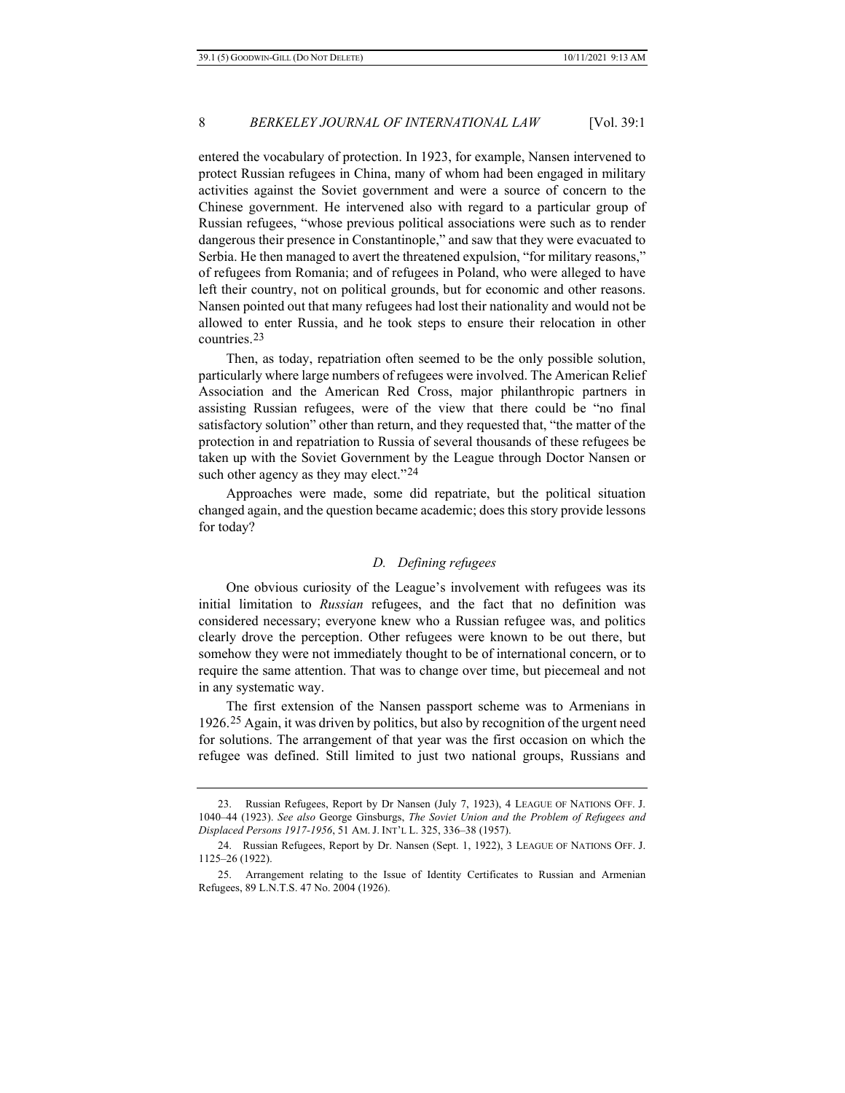entered the vocabulary of protection. In 1923, for example, Nansen intervened to protect Russian refugees in China, many of whom had been engaged in military activities against the Soviet government and were a source of concern to the Chinese government. He intervened also with regard to a particular group of Russian refugees, "whose previous political associations were such as to render dangerous their presence in Constantinople," and saw that they were evacuated to Serbia. He then managed to avert the threatened expulsion, "for military reasons," of refugees from Romania; and of refugees in Poland, who were alleged to have left their country, not on political grounds, but for economic and other reasons. Nansen pointed out that many refugees had lost their nationality and would not be allowed to enter Russia, and he took steps to ensure their relocation in other countries.[23](#page-7-0)

Then, as today, repatriation often seemed to be the only possible solution, particularly where large numbers of refugees were involved. The American Relief Association and the American Red Cross, major philanthropic partners in assisting Russian refugees, were of the view that there could be "no final satisfactory solution" other than return, and they requested that, "the matter of the protection in and repatriation to Russia of several thousands of these refugees be taken up with the Soviet Government by the League through Doctor Nansen or such other agency as they may elect."<sup>[24](#page-7-1)</sup>

Approaches were made, some did repatriate, but the political situation changed again, and the question became academic; does this story provide lessons for today?

#### *D. Defining refugees*

One obvious curiosity of the League's involvement with refugees was its initial limitation to *Russian* refugees, and the fact that no definition was considered necessary; everyone knew who a Russian refugee was, and politics clearly drove the perception. Other refugees were known to be out there, but somehow they were not immediately thought to be of international concern, or to require the same attention. That was to change over time, but piecemeal and not in any systematic way.

The first extension of the Nansen passport scheme was to Armenians in 1926.[25](#page-7-2) Again, it was driven by politics, but also by recognition of the urgent need for solutions. The arrangement of that year was the first occasion on which the refugee was defined. Still limited to just two national groups, Russians and

<span id="page-7-0"></span><sup>23.</sup> Russian Refugees, Report by Dr Nansen (July 7, 1923), 4 LEAGUE OF NATIONS OFF. J. 1040–44 (1923). *See also* George Ginsburgs, *The Soviet Union and the Problem of Refugees and Displaced Persons 1917-1956*, 51 AM. J. INT'L L. 325, 336–38 (1957).

<span id="page-7-1"></span><sup>24.</sup> Russian Refugees, Report by Dr. Nansen (Sept. 1, 1922), 3 LEAGUE OF NATIONS OFF. J. 1125–26 (1922).

<span id="page-7-2"></span><sup>25.</sup> Arrangement relating to the Issue of Identity Certificates to Russian and Armenian Refugees, 89 L.N.T.S. 47 No. 2004 (1926).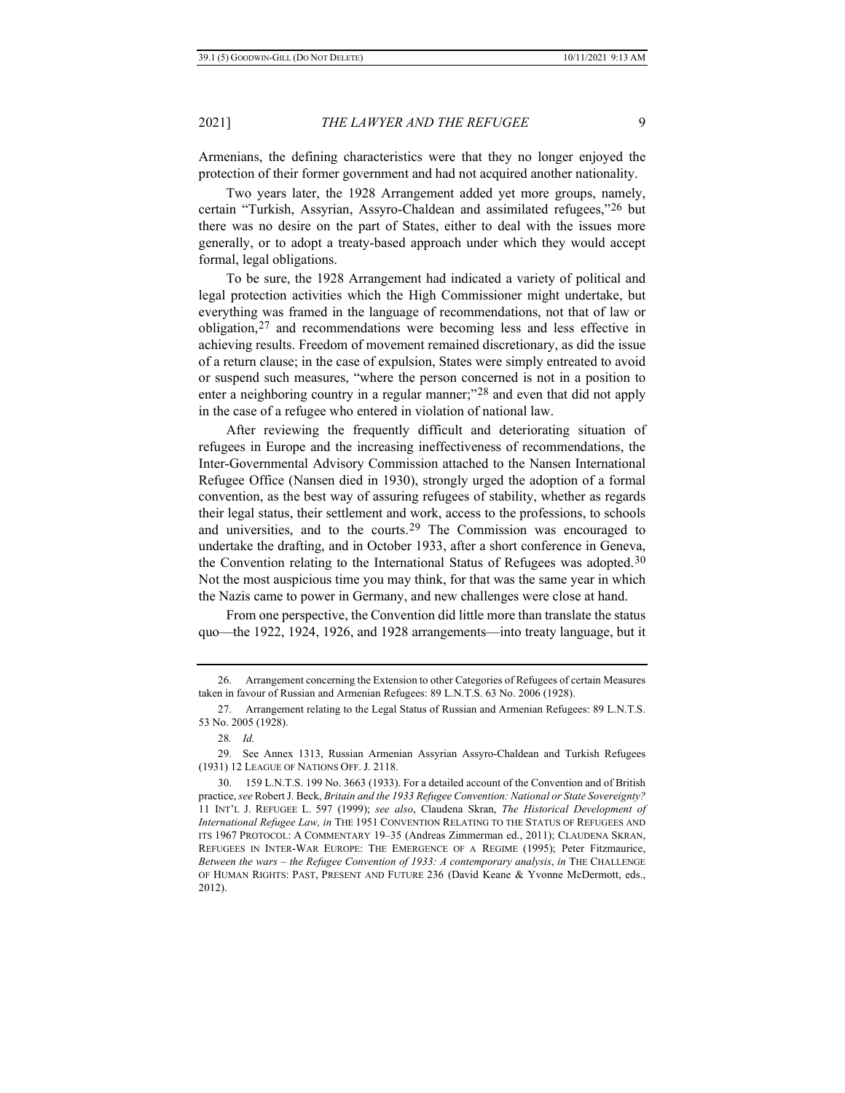Armenians, the defining characteristics were that they no longer enjoyed the protection of their former government and had not acquired another nationality.

Two years later, the 1928 Arrangement added yet more groups, namely, certain "Turkish, Assyrian, Assyro-Chaldean and assimilated refugees,"[26](#page-8-0) but there was no desire on the part of States, either to deal with the issues more generally, or to adopt a treaty-based approach under which they would accept formal, legal obligations.

To be sure, the 1928 Arrangement had indicated a variety of political and legal protection activities which the High Commissioner might undertake, but everything was framed in the language of recommendations, not that of law or obligation,[27](#page-8-1) and recommendations were becoming less and less effective in achieving results. Freedom of movement remained discretionary, as did the issue of a return clause; in the case of expulsion, States were simply entreated to avoid or suspend such measures, "where the person concerned is not in a position to enter a neighboring country in a regular manner;"<sup>[28](#page-8-2)</sup> and even that did not apply in the case of a refugee who entered in violation of national law.

After reviewing the frequently difficult and deteriorating situation of refugees in Europe and the increasing ineffectiveness of recommendations, the Inter-Governmental Advisory Commission attached to the Nansen International Refugee Office (Nansen died in 1930), strongly urged the adoption of a formal convention, as the best way of assuring refugees of stability, whether as regards their legal status, their settlement and work, access to the professions, to schools and universities, and to the courts.[29](#page-8-3) The Commission was encouraged to undertake the drafting, and in October 1933, after a short conference in Geneva, the Convention relating to the International Status of Refugees was adopted.[30](#page-8-4) Not the most auspicious time you may think, for that was the same year in which the Nazis came to power in Germany, and new challenges were close at hand.

From one perspective, the Convention did little more than translate the status quo—the 1922, 1924, 1926, and 1928 arrangements—into treaty language, but it

<span id="page-8-0"></span><sup>26.</sup> Arrangement concerning the Extension to other Categories of Refugees of certain Measures taken in favour of Russian and Armenian Refugees: 89 L.N.T.S. 63 No. 2006 (1928).

<span id="page-8-1"></span><sup>27.</sup> Arrangement relating to the Legal Status of Russian and Armenian Refugees: 89 L.N.T.S. 53 No. 2005 (1928).

<sup>28</sup>*. Id.*

<span id="page-8-3"></span><span id="page-8-2"></span><sup>29.</sup> See Annex 1313, Russian Armenian Assyrian Assyro-Chaldean and Turkish Refugees (1931) 12 LEAGUE OF NATIONS OFF. J. 2118.

<span id="page-8-4"></span><sup>30.</sup> 159 L.N.T.S. 199 No. 3663 (1933). For a detailed account of the Convention and of British practice, *see* Robert J. Beck, *Britain and the 1933 Refugee Convention: National or State Sovereignty?* 11 INT'L J. REFUGEE L. 597 (1999); *see also*, Claudena Skran, *The Historical Development of International Refugee Law, in* THE 1951 CONVENTION RELATING TO THE STATUS OF REFUGEES AND ITS 1967 PROTOCOL: A COMMENTARY 19–35 (Andreas Zimmerman ed., 2011); CLAUDENA SKRAN, REFUGEES IN INTER-WAR EUROPE: THE EMERGENCE OF A REGIME (1995); Peter Fitzmaurice, *Between the wars – the Refugee Convention of 1933: A contemporary analysis*, *in* THE CHALLENGE OF HUMAN RIGHTS: PAST, PRESENT AND FUTURE 236 (David Keane & Yvonne McDermott, eds., 2012).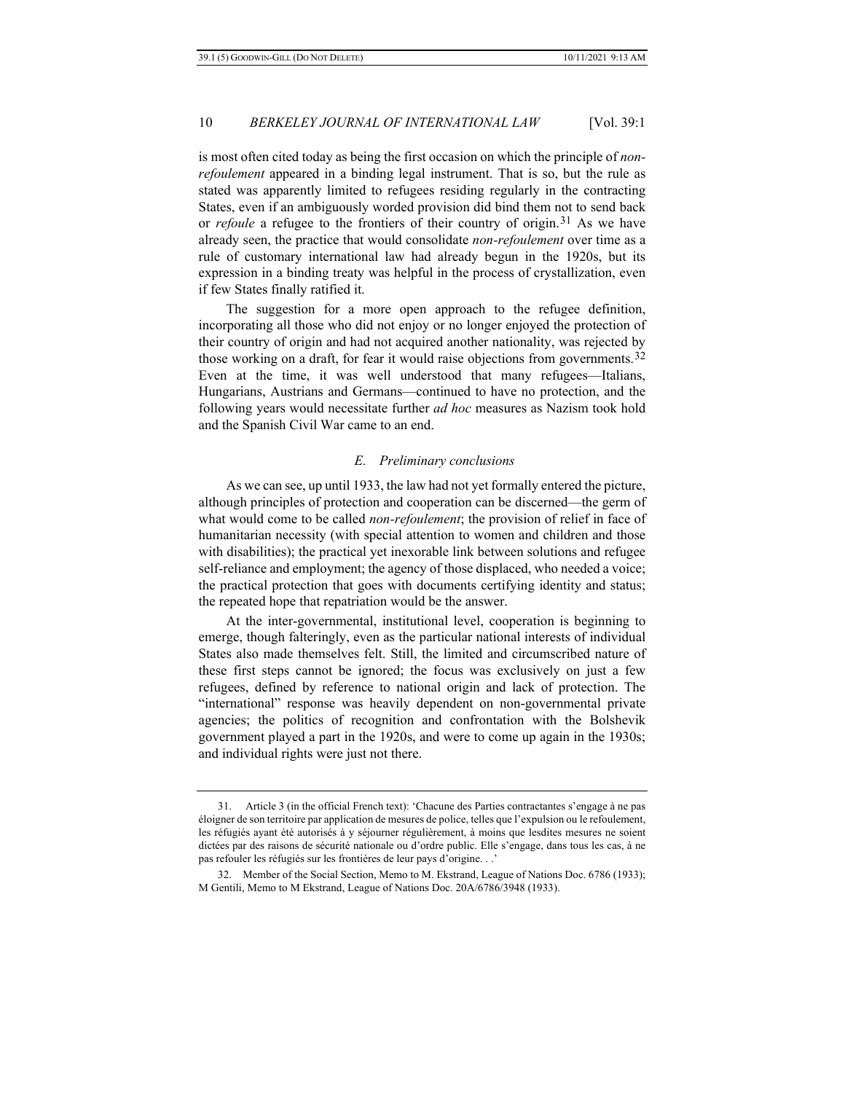is most often cited today as being the first occasion on which the principle of *nonrefoulement* appeared in a binding legal instrument. That is so, but the rule as stated was apparently limited to refugees residing regularly in the contracting States, even if an ambiguously worded provision did bind them not to send back or *refoule* a refugee to the frontiers of their country of origin.<sup>[31](#page-9-0)</sup> As we have already seen, the practice that would consolidate *non-refoulement* over time as a rule of customary international law had already begun in the 1920s, but its expression in a binding treaty was helpful in the process of crystallization, even if few States finally ratified it.

The suggestion for a more open approach to the refugee definition, incorporating all those who did not enjoy or no longer enjoyed the protection of their country of origin and had not acquired another nationality, was rejected by those working on a draft, for fear it would raise objections from governments.<sup>[32](#page-9-1)</sup> Even at the time, it was well understood that many refugees—Italians, Hungarians, Austrians and Germans—continued to have no protection, and the following years would necessitate further *ad hoc* measures as Nazism took hold and the Spanish Civil War came to an end.

#### *E. Preliminary conclusions*

As we can see, up until 1933, the law had not yet formally entered the picture, although principles of protection and cooperation can be discerned—the germ of what would come to be called *non-refoulement*; the provision of relief in face of humanitarian necessity (with special attention to women and children and those with disabilities); the practical yet inexorable link between solutions and refugee self-reliance and employment; the agency of those displaced, who needed a voice; the practical protection that goes with documents certifying identity and status; the repeated hope that repatriation would be the answer.

At the inter-governmental, institutional level, cooperation is beginning to emerge, though falteringly, even as the particular national interests of individual States also made themselves felt. Still, the limited and circumscribed nature of these first steps cannot be ignored; the focus was exclusively on just a few refugees, defined by reference to national origin and lack of protection. The "international" response was heavily dependent on non-governmental private agencies; the politics of recognition and confrontation with the Bolshevik government played a part in the 1920s, and were to come up again in the 1930s; and individual rights were just not there.

<span id="page-9-0"></span><sup>31.</sup> Article 3 (in the official French text): 'Chacune des Parties contractantes s'engage à ne pas éloigner de son territoire par application de mesures de police, telles que l'expulsion ou le refoulement, les réfugiés ayant été autorisés à y séjourner régulièrement, à moins que lesdites mesures ne soient dictées par des raisons de sécurité nationale ou d'ordre public. Elle s'engage, dans tous les cas, à ne pas refouler les réfugiés sur les frontières de leur pays d'origine. . .'

<span id="page-9-1"></span><sup>32.</sup> Member of the Social Section, Memo to M. Ekstrand, League of Nations Doc. 6786 (1933); M Gentili, Memo to M Ekstrand, League of Nations Doc. 20A/6786/3948 (1933).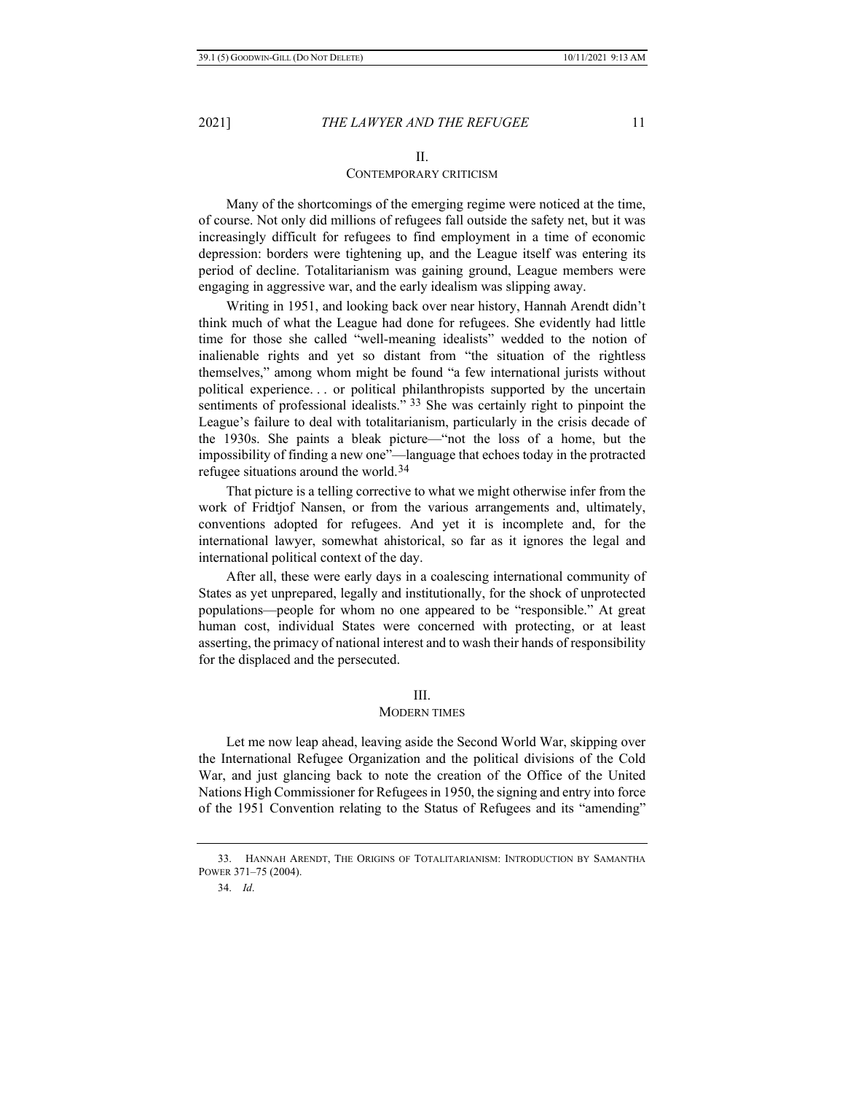### II. CONTEMPORARY CRITICISM

Many of the shortcomings of the emerging regime were noticed at the time, of course. Not only did millions of refugees fall outside the safety net, but it was increasingly difficult for refugees to find employment in a time of economic depression: borders were tightening up, and the League itself was entering its period of decline. Totalitarianism was gaining ground, League members were engaging in aggressive war, and the early idealism was slipping away.

Writing in 1951, and looking back over near history, Hannah Arendt didn't think much of what the League had done for refugees. She evidently had little time for those she called "well-meaning idealists" wedded to the notion of inalienable rights and yet so distant from "the situation of the rightless themselves," among whom might be found "a few international jurists without political experience. . . or political philanthropists supported by the uncertain sentiments of professional idealists." [33](#page-10-0) She was certainly right to pinpoint the League's failure to deal with totalitarianism, particularly in the crisis decade of the 1930s. She paints a bleak picture—"not the loss of a home, but the impossibility of finding a new one"—language that echoes today in the protracted refugee situations around the world.[34](#page-10-1)

That picture is a telling corrective to what we might otherwise infer from the work of Fridtjof Nansen, or from the various arrangements and, ultimately, conventions adopted for refugees. And yet it is incomplete and, for the international lawyer, somewhat ahistorical, so far as it ignores the legal and international political context of the day.

After all, these were early days in a coalescing international community of States as yet unprepared, legally and institutionally, for the shock of unprotected populations—people for whom no one appeared to be "responsible." At great human cost, individual States were concerned with protecting, or at least asserting, the primacy of national interest and to wash their hands of responsibility for the displaced and the persecuted.

#### III.

#### MODERN TIMES

Let me now leap ahead, leaving aside the Second World War, skipping over the International Refugee Organization and the political divisions of the Cold War, and just glancing back to note the creation of the Office of the United Nations High Commissioner for Refugees in 1950, the signing and entry into force of the 1951 Convention relating to the Status of Refugees and its "amending"

<span id="page-10-1"></span><span id="page-10-0"></span><sup>33.</sup> HANNAH ARENDT, THE ORIGINS OF TOTALITARIANISM: INTRODUCTION BY SAMANTHA POWER 371–75 (2004).

<sup>34.</sup> *Id*.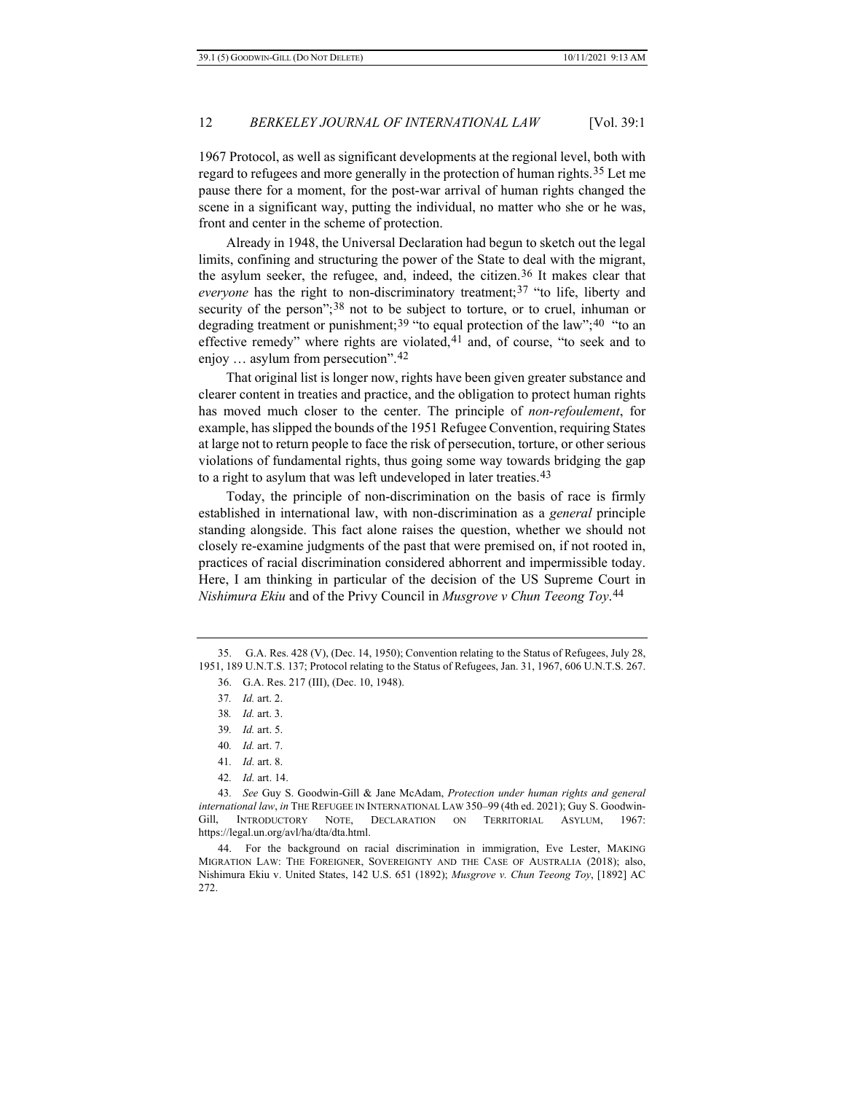1967 Protocol, as well as significant developments at the regional level, both with regard to refugees and more generally in the protection of human rights.[35](#page-11-0) Let me pause there for a moment, for the post-war arrival of human rights changed the scene in a significant way, putting the individual, no matter who she or he was, front and center in the scheme of protection.

Already in 1948, the Universal Declaration had begun to sketch out the legal limits, confining and structuring the power of the State to deal with the migrant, the asylum seeker, the refugee, and, indeed, the citizen.<sup>[36](#page-11-1)</sup> It makes clear that *everyone* has the right to non-discriminatory treatment;<sup>[37](#page-11-2)</sup> "to life, liberty and security of the person";<sup>[38](#page-11-3)</sup> not to be subject to torture, or to cruel, inhuman or degrading treatment or punishment;<sup>[39](#page-11-4)</sup> "to equal protection of the law";<sup>[40](#page-11-5)</sup> "to an effective remedy" where rights are violated, $41$  and, of course, "to seek and to enjoy … asylum from persecution".[42](#page-11-7)

That original list is longer now, rights have been given greater substance and clearer content in treaties and practice, and the obligation to protect human rights has moved much closer to the center. The principle of *non-refoulement*, for example, has slipped the bounds of the 1951 Refugee Convention, requiring States at large not to return people to face the risk of persecution, torture, or other serious violations of fundamental rights, thus going some way towards bridging the gap to a right to asylum that was left undeveloped in later treaties.<sup>[43](#page-11-8)</sup>

Today, the principle of non-discrimination on the basis of race is firmly established in international law, with non-discrimination as a *general* principle standing alongside. This fact alone raises the question, whether we should not closely re-examine judgments of the past that were premised on, if not rooted in, practices of racial discrimination considered abhorrent and impermissible today. Here, I am thinking in particular of the decision of the US Supreme Court in *Nishimura Ekiu* and of the Privy Council in *Musgrove v Chun Teeong Toy*.[44](#page-11-9)

<span id="page-11-3"></span><span id="page-11-2"></span><span id="page-11-1"></span><span id="page-11-0"></span><sup>35.</sup> G.A. Res. 428 (V), (Dec. 14, 1950); Convention relating to the Status of Refugees, July 28, 1951, 189 U.N.T.S. 137; Protocol relating to the Status of Refugees, Jan. 31, 1967, 606 U.N.T.S. 267.

<sup>36.</sup> G.A. Res. 217 (III), (Dec. 10, 1948).

<sup>37</sup>*. Id.* art. 2.

<sup>38</sup>*. Id.* art. 3.

<sup>39</sup>*. Id.* art. 5.

<sup>40</sup>*. Id.* art. 7.

<sup>41</sup>*. Id.* art. 8.

<sup>42</sup>*. Id.* art. 14.

<span id="page-11-8"></span><span id="page-11-7"></span><span id="page-11-6"></span><span id="page-11-5"></span><span id="page-11-4"></span><sup>43</sup>*. See* Guy S. Goodwin-Gill & Jane McAdam, *Protection under human rights and general international law*, *in* THE REFUGEE IN INTERNATIONAL LAW 350–99 (4th ed. 2021); Guy S. Goodwin-Gill, INTRODUCTORY NOTE, DECLARATION ON TERRITORIAL ASYLUM, 1967: [https://legal.un.org/avl/ha/dta/dta.html.](https://legal.un.org/avl/ha/dta/dta.html)

<span id="page-11-9"></span><sup>44.</sup> For the background on racial discrimination in immigration, Eve Lester, MAKING MIGRATION LAW: THE FOREIGNER, SOVEREIGNTY AND THE CASE OF AUSTRALIA (2018); also, Nishimura Ekiu v. United States, 142 U.S. 651 (1892); *Musgrove v. Chun Teeong Toy*, [1892] AC 272.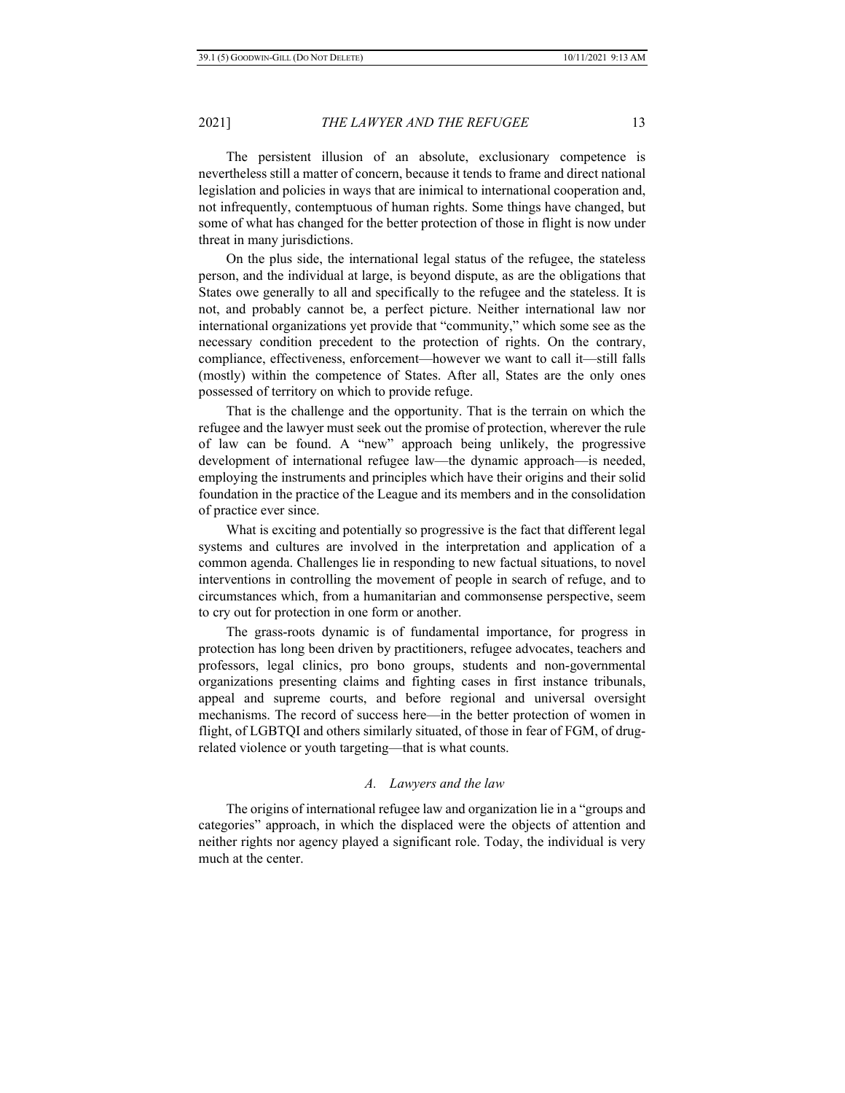The persistent illusion of an absolute, exclusionary competence is nevertheless still a matter of concern, because it tends to frame and direct national legislation and policies in ways that are inimical to international cooperation and, not infrequently, contemptuous of human rights. Some things have changed, but some of what has changed for the better protection of those in flight is now under threat in many jurisdictions.

On the plus side, the international legal status of the refugee, the stateless person, and the individual at large, is beyond dispute, as are the obligations that States owe generally to all and specifically to the refugee and the stateless. It is not, and probably cannot be, a perfect picture. Neither international law nor international organizations yet provide that "community," which some see as the necessary condition precedent to the protection of rights. On the contrary, compliance, effectiveness, enforcement—however we want to call it—still falls (mostly) within the competence of States. After all, States are the only ones possessed of territory on which to provide refuge.

That is the challenge and the opportunity. That is the terrain on which the refugee and the lawyer must seek out the promise of protection, wherever the rule of law can be found. A "new" approach being unlikely, the progressive development of international refugee law—the dynamic approach—is needed, employing the instruments and principles which have their origins and their solid foundation in the practice of the League and its members and in the consolidation of practice ever since.

What is exciting and potentially so progressive is the fact that different legal systems and cultures are involved in the interpretation and application of a common agenda. Challenges lie in responding to new factual situations, to novel interventions in controlling the movement of people in search of refuge, and to circumstances which, from a humanitarian and commonsense perspective, seem to cry out for protection in one form or another.

The grass-roots dynamic is of fundamental importance, for progress in protection has long been driven by practitioners, refugee advocates, teachers and professors, legal clinics, pro bono groups, students and non-governmental organizations presenting claims and fighting cases in first instance tribunals, appeal and supreme courts, and before regional and universal oversight mechanisms. The record of success here—in the better protection of women in flight, of LGBTQI and others similarly situated, of those in fear of FGM, of drugrelated violence or youth targeting—that is what counts.

#### *A. Lawyers and the law*

The origins of international refugee law and organization lie in a "groups and categories" approach, in which the displaced were the objects of attention and neither rights nor agency played a significant role. Today, the individual is very much at the center.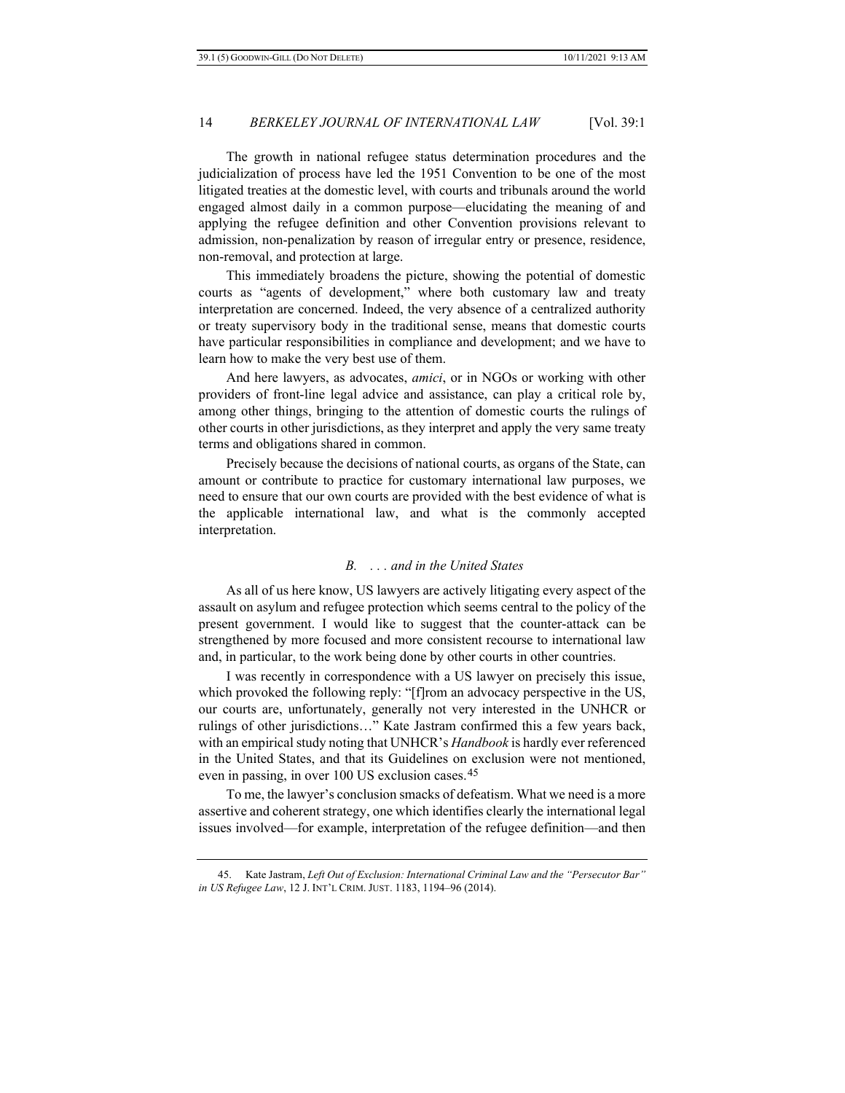The growth in national refugee status determination procedures and the judicialization of process have led the 1951 Convention to be one of the most litigated treaties at the domestic level, with courts and tribunals around the world engaged almost daily in a common purpose—elucidating the meaning of and applying the refugee definition and other Convention provisions relevant to admission, non-penalization by reason of irregular entry or presence, residence, non-removal, and protection at large.

This immediately broadens the picture, showing the potential of domestic courts as "agents of development," where both customary law and treaty interpretation are concerned. Indeed, the very absence of a centralized authority or treaty supervisory body in the traditional sense, means that domestic courts have particular responsibilities in compliance and development; and we have to learn how to make the very best use of them.

And here lawyers, as advocates, *amici*, or in NGOs or working with other providers of front-line legal advice and assistance, can play a critical role by, among other things, bringing to the attention of domestic courts the rulings of other courts in other jurisdictions, as they interpret and apply the very same treaty terms and obligations shared in common.

Precisely because the decisions of national courts, as organs of the State, can amount or contribute to practice for customary international law purposes, we need to ensure that our own courts are provided with the best evidence of what is the applicable international law, and what is the commonly accepted interpretation.

#### *B. . . . and in the United States*

As all of us here know, US lawyers are actively litigating every aspect of the assault on asylum and refugee protection which seems central to the policy of the present government. I would like to suggest that the counter-attack can be strengthened by more focused and more consistent recourse to international law and, in particular, to the work being done by other courts in other countries.

I was recently in correspondence with a US lawyer on precisely this issue, which provoked the following reply: "[f]rom an advocacy perspective in the US, our courts are, unfortunately, generally not very interested in the UNHCR or rulings of other jurisdictions…" Kate Jastram confirmed this a few years back, with an empirical study noting that UNHCR's *Handbook* is hardly ever referenced in the United States, and that its Guidelines on exclusion were not mentioned, even in passing, in over 100 US exclusion cases.[45](#page-13-0)

To me, the lawyer's conclusion smacks of defeatism. What we need is a more assertive and coherent strategy, one which identifies clearly the international legal issues involved—for example, interpretation of the refugee definition—and then

<span id="page-13-0"></span><sup>45.</sup> Kate Jastram, *Left Out of Exclusion: International Criminal Law and the "Persecutor Bar" in US Refugee Law*, 12 J. INT'L CRIM. JUST. 1183, 1194–96 (2014).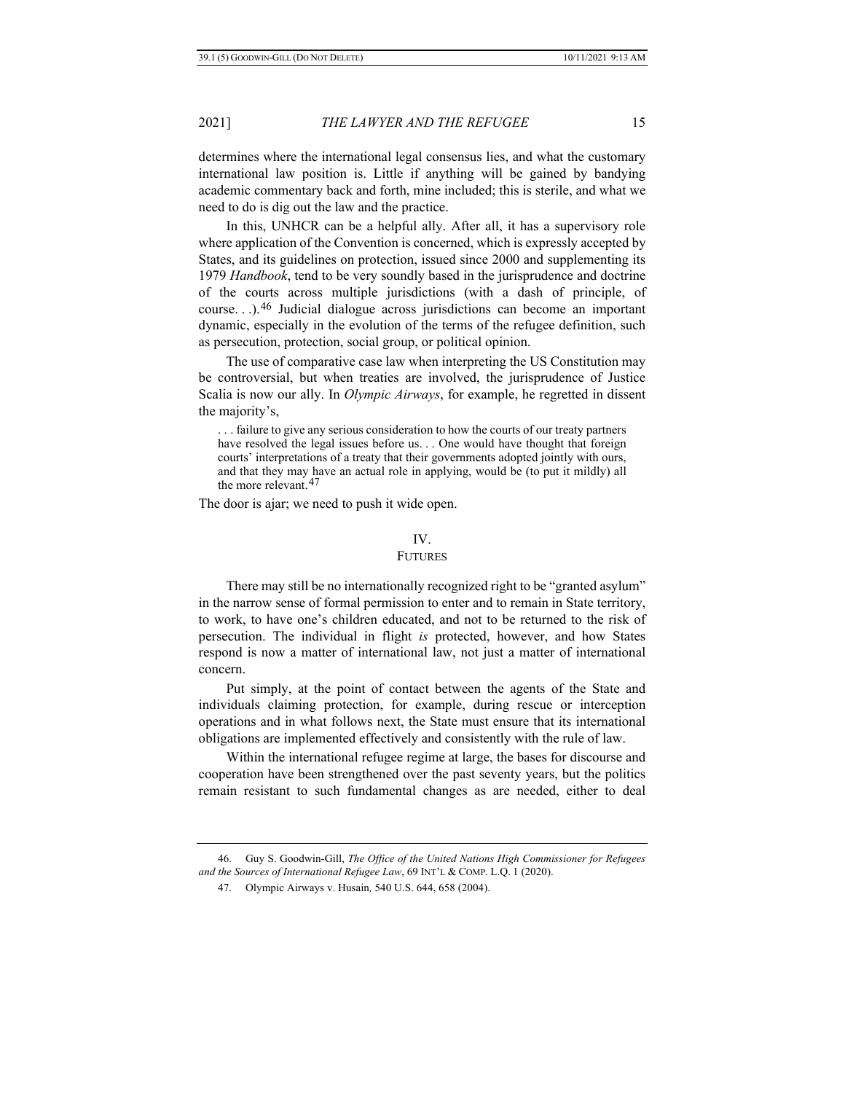determines where the international legal consensus lies, and what the customary international law position is. Little if anything will be gained by bandying academic commentary back and forth, mine included; this is sterile, and what we need to do is dig out the law and the practice.

In this, UNHCR can be a helpful ally. After all, it has a supervisory role where application of the Convention is concerned, which is expressly accepted by States, and its guidelines on protection, issued since 2000 and supplementing its 1979 *Handbook*, tend to be very soundly based in the jurisprudence and doctrine of the courts across multiple jurisdictions (with a dash of principle, of course. . .).[46](#page-14-0) Judicial dialogue across jurisdictions can become an important dynamic, especially in the evolution of the terms of the refugee definition, such as persecution, protection, social group, or political opinion.

The use of comparative case law when interpreting the US Constitution may be controversial, but when treaties are involved, the jurisprudence of Justice Scalia is now our ally. In *Olympic Airways*, for example, he regretted in dissent the majority's,

. . . failure to give any serious consideration to how the courts of our treaty partners have resolved the legal issues before us. . . One would have thought that foreign courts' interpretations of a treaty that their governments adopted jointly with ours, and that they may have an actual role in applying, would be (to put it mildly) all the more relevant.[47](#page-14-1)

The door is ajar; we need to push it wide open.

#### IV.

#### FUTURES

There may still be no internationally recognized right to be "granted asylum" in the narrow sense of formal permission to enter and to remain in State territory, to work, to have one's children educated, and not to be returned to the risk of persecution. The individual in flight *is* protected, however, and how States respond is now a matter of international law, not just a matter of international concern.

Put simply, at the point of contact between the agents of the State and individuals claiming protection, for example, during rescue or interception operations and in what follows next, the State must ensure that its international obligations are implemented effectively and consistently with the rule of law.

Within the international refugee regime at large, the bases for discourse and cooperation have been strengthened over the past seventy years, but the politics remain resistant to such fundamental changes as are needed, either to deal

<span id="page-14-1"></span><span id="page-14-0"></span><sup>46.</sup> Guy S. Goodwin-Gill, *The Office of the United Nations High Commissioner for Refugees and the Sources of International Refugee Law*, 69 INT'L & COMP. L.Q. 1 (2020).

<sup>47.</sup> Olympic Airways v. Husain*,* 540 U.S. 644, 658 (2004).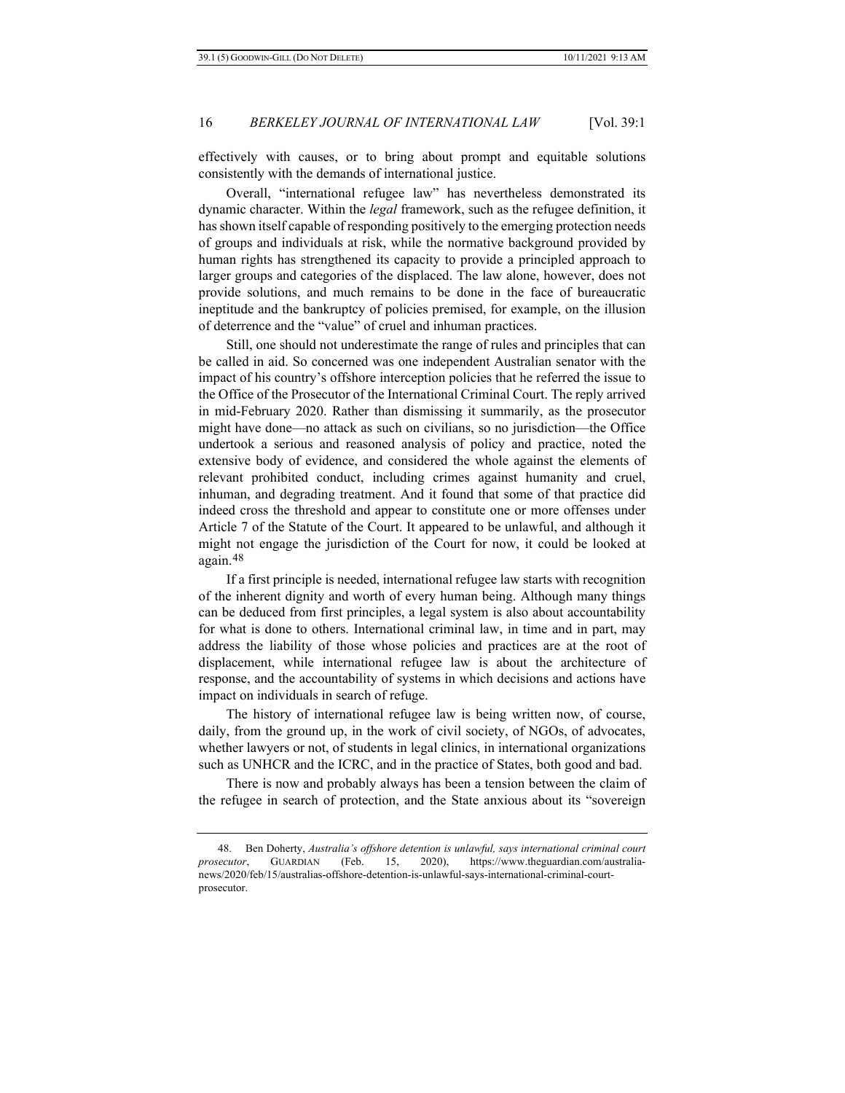effectively with causes, or to bring about prompt and equitable solutions consistently with the demands of international justice.

Overall, "international refugee law" has nevertheless demonstrated its dynamic character. Within the *legal* framework, such as the refugee definition, it has shown itself capable of responding positively to the emerging protection needs of groups and individuals at risk, while the normative background provided by human rights has strengthened its capacity to provide a principled approach to larger groups and categories of the displaced. The law alone, however, does not provide solutions, and much remains to be done in the face of bureaucratic ineptitude and the bankruptcy of policies premised, for example, on the illusion of deterrence and the "value" of cruel and inhuman practices.

Still, one should not underestimate the range of rules and principles that can be called in aid. So concerned was one independent Australian senator with the impact of his country's offshore interception policies that he referred the issue to the Office of the Prosecutor of the International Criminal Court. The reply arrived in mid-February 2020. Rather than dismissing it summarily, as the prosecutor might have done—no attack as such on civilians, so no jurisdiction—the Office undertook a serious and reasoned analysis of policy and practice, noted the extensive body of evidence, and considered the whole against the elements of relevant prohibited conduct, including crimes against humanity and cruel, inhuman, and degrading treatment. And it found that some of that practice did indeed cross the threshold and appear to constitute one or more offenses under Article 7 of the Statute of the Court. It appeared to be unlawful, and although it might not engage the jurisdiction of the Court for now, it could be looked at again.[48](#page-15-0)

If a first principle is needed, international refugee law starts with recognition of the inherent dignity and worth of every human being. Although many things can be deduced from first principles, a legal system is also about accountability for what is done to others. International criminal law, in time and in part, may address the liability of those whose policies and practices are at the root of displacement, while international refugee law is about the architecture of response, and the accountability of systems in which decisions and actions have impact on individuals in search of refuge.

The history of international refugee law is being written now, of course, daily, from the ground up, in the work of civil society, of NGOs, of advocates, whether lawyers or not, of students in legal clinics, in international organizations such as UNHCR and the ICRC, and in the practice of States, both good and bad.

There is now and probably always has been a tension between the claim of the refugee in search of protection, and the State anxious about its "sovereign

<span id="page-15-0"></span><sup>48.</sup> Ben Doherty, *Australia's offshore detention is unlawful, says international criminal court prosecutor*, GUARDIAN (Feb. 15, 2020), https://www.theguardian.com/australianews/2020/feb/15/australias-offshore-detention-is-unlawful-says-international-criminal-courtprosecutor.